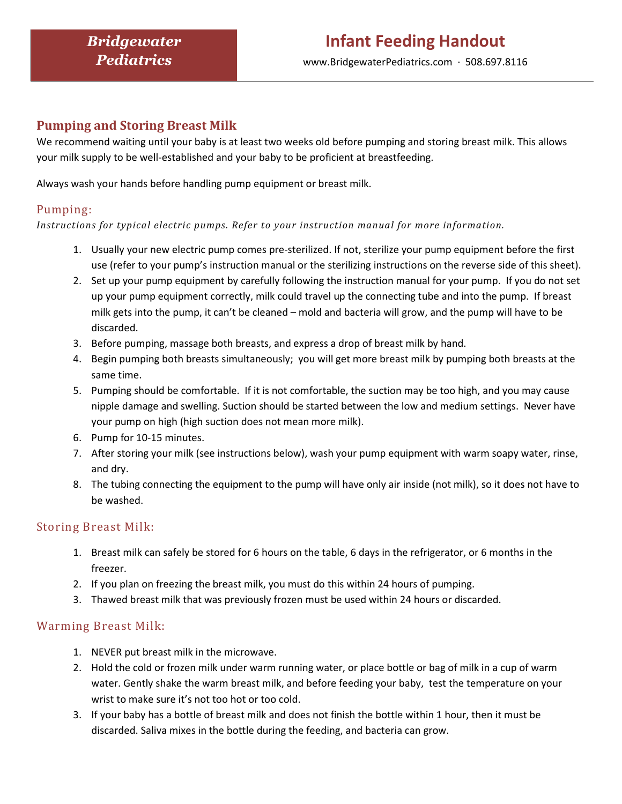## Pumping and Storing Breast Milk

We recommend waiting until your baby is at least two weeks old before pumping and storing breast milk. This allows your milk supply to be well-established and your baby to be proficient at breastfeeding.

Always wash your hands before handling pump equipment or breast milk.

### Pumping:

Instructions for typical electric pumps. Refer to your instruction manual for more information.

- 1. Usually your new electric pump comes pre-sterilized. If not, sterilize your pump equipment before the first use (refer to your pump's instruction manual or the sterilizing instructions on the reverse side of this sheet).
- 2. Set up your pump equipment by carefully following the instruction manual for your pump. If you do not set up your pump equipment correctly, milk could travel up the connecting tube and into the pump. If breast milk gets into the pump, it can't be cleaned – mold and bacteria will grow, and the pump will have to be discarded.
- 3. Before pumping, massage both breasts, and express a drop of breast milk by hand.
- 4. Begin pumping both breasts simultaneously; you will get more breast milk by pumping both breasts at the same time.
- 5. Pumping should be comfortable. If it is not comfortable, the suction may be too high, and you may cause nipple damage and swelling. Suction should be started between the low and medium settings. Never have your pump on high (high suction does not mean more milk).
- 6. Pump for 10-15 minutes.
- 7. After storing your milk (see instructions below), wash your pump equipment with warm soapy water, rinse, and dry.
- 8. The tubing connecting the equipment to the pump will have only air inside (not milk), so it does not have to be washed.

### Storing Breast Milk:

- 1. Breast milk can safely be stored for 6 hours on the table, 6 days in the refrigerator, or 6 months in the freezer.
- 2. If you plan on freezing the breast milk, you must do this within 24 hours of pumping.
- 3. Thawed breast milk that was previously frozen must be used within 24 hours or discarded.

### Warming Breast Milk:

- 1. NEVER put breast milk in the microwave.
- 2. Hold the cold or frozen milk under warm running water, or place bottle or bag of milk in a cup of warm water. Gently shake the warm breast milk, and before feeding your baby, test the temperature on your wrist to make sure it's not too hot or too cold.
- 3. If your baby has a bottle of breast milk and does not finish the bottle within 1 hour, then it must be discarded. Saliva mixes in the bottle during the feeding, and bacteria can grow.